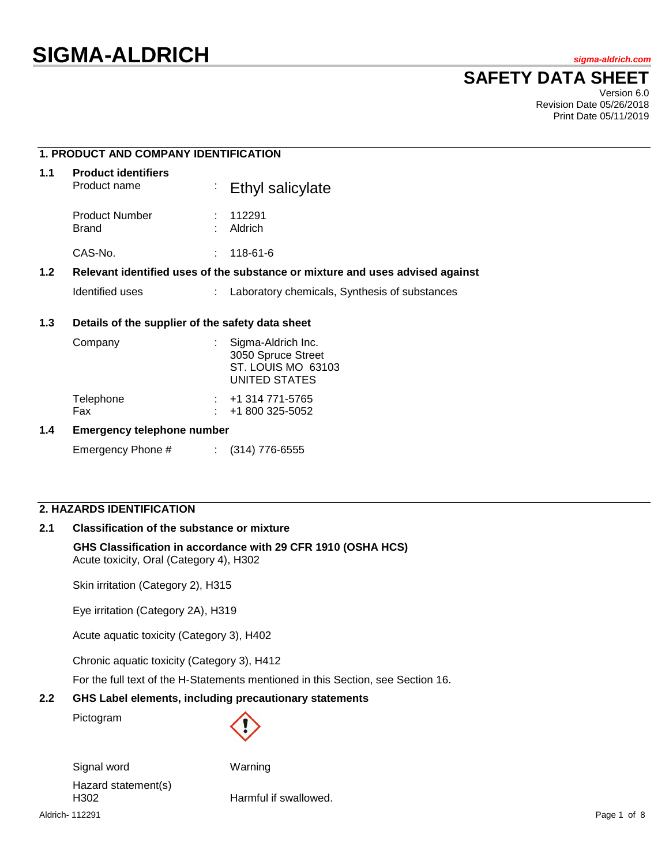# **SAFETY DATA SHEET**

Version 6.0 Revision Date 05/26/2018 Print Date 05/11/2019

# **1. PRODUCT AND COMPANY IDENTIFICATION 1.1 Product identifiers** Ethyl salicylate Product Number : 112291 Brand : Aldrich CAS-No. : 118-61-6 **1.2 Relevant identified uses of the substance or mixture and uses advised against** Identified uses : Laboratory chemicals, Synthesis of substances **1.3 Details of the supplier of the safety data sheet** Company : Sigma-Aldrich Inc. 3050 Spruce Street ST. LOUIS MO 63103 UNITED STATES Telephone : +1 314 771-5765<br>Fax : +1 800 325-5052 +1 800 325-5052

#### **1.4 Emergency telephone number**

Emergency Phone # : (314) 776-6555

# **2. HAZARDS IDENTIFICATION**

## **2.1 Classification of the substance or mixture**

#### **GHS Classification in accordance with 29 CFR 1910 (OSHA HCS)** Acute toxicity, Oral (Category 4), H302

Skin irritation (Category 2), H315

Eye irritation (Category 2A), H319

Acute aquatic toxicity (Category 3), H402

Chronic aquatic toxicity (Category 3), H412

For the full text of the H-Statements mentioned in this Section, see Section 16.

#### **2.2 GHS Label elements, including precautionary statements**

Pictogram



Signal word Warning Hazard statement(s) H302 **Harmful if swallowed.** 

Aldrich**-** 112291 Page 1 of 8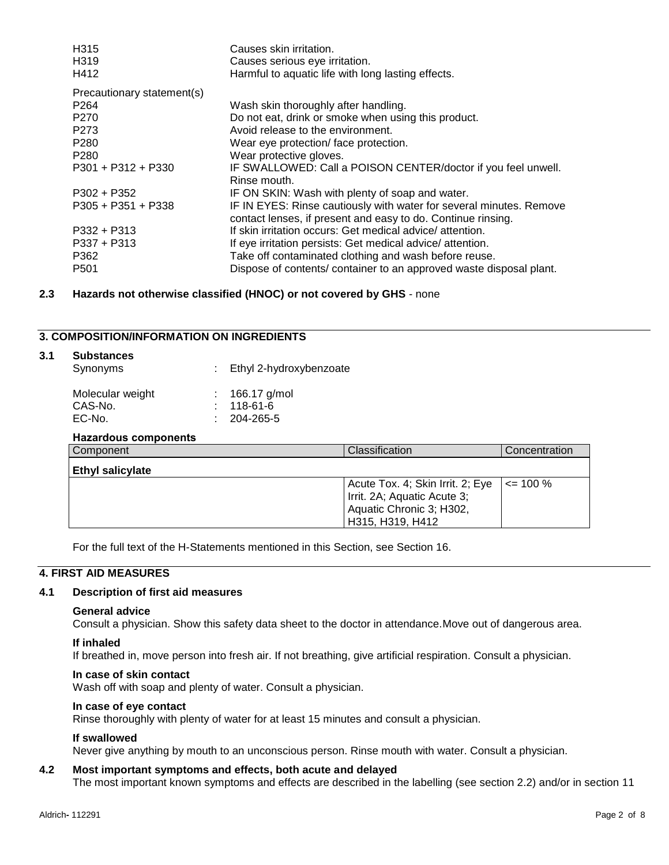| H315                       | Causes skin irritation.                                                                                                             |
|----------------------------|-------------------------------------------------------------------------------------------------------------------------------------|
| H <sub>3</sub> 19          | Causes serious eye irritation.                                                                                                      |
| H412                       | Harmful to aquatic life with long lasting effects.                                                                                  |
| Precautionary statement(s) |                                                                                                                                     |
| P <sub>264</sub>           | Wash skin thoroughly after handling.                                                                                                |
| P270                       | Do not eat, drink or smoke when using this product.                                                                                 |
| P273                       | Avoid release to the environment.                                                                                                   |
| P280                       | Wear eye protection/face protection.                                                                                                |
| P <sub>280</sub>           | Wear protective gloves.                                                                                                             |
| $P301 + P312 + P330$       | IF SWALLOWED: Call a POISON CENTER/doctor if you feel unwell.<br>Rinse mouth.                                                       |
| $P302 + P352$              | IF ON SKIN: Wash with plenty of soap and water.                                                                                     |
| $P305 + P351 + P338$       | IF IN EYES: Rinse cautiously with water for several minutes. Remove<br>contact lenses, if present and easy to do. Continue rinsing. |
| $P332 + P313$              | If skin irritation occurs: Get medical advice/attention.                                                                            |
| $P337 + P313$              | If eye irritation persists: Get medical advice/attention.                                                                           |
| P362                       | Take off contaminated clothing and wash before reuse.                                                                               |
| P501                       | Dispose of contents/ container to an approved waste disposal plant.                                                                 |
|                            |                                                                                                                                     |

## **2.3 Hazards not otherwise classified (HNOC) or not covered by GHS** - none

## **3. COMPOSITION/INFORMATION ON INGREDIENTS**

| 3.1 | <b>Substances</b> |  |
|-----|-------------------|--|
|     | Synonyms          |  |

: Ethyl 2-hydroxybenzoate

| Molecular weight | : $166.17$ g/mol  |
|------------------|-------------------|
| CAS-No.          | $: 118-61-6$      |
| EC-No.           | $: 204 - 265 - 5$ |
|                  |                   |

| Hazardous components    |                                  |               |
|-------------------------|----------------------------------|---------------|
| Component               | Classification                   | Concentration |
| <b>Ethyl salicylate</b> |                                  |               |
|                         | Acute Tox. 4; Skin Irrit. 2; Eye | $\leq$ 100 %  |
|                         | Irrit. 2A; Aquatic Acute 3;      |               |
|                         | Aquatic Chronic 3; H302,         |               |
|                         | H315, H319, H412                 |               |

For the full text of the H-Statements mentioned in this Section, see Section 16.

## **4. FIRST AID MEASURES**

## **4.1 Description of first aid measures**

## **General advice**

Consult a physician. Show this safety data sheet to the doctor in attendance.Move out of dangerous area.

#### **If inhaled**

If breathed in, move person into fresh air. If not breathing, give artificial respiration. Consult a physician.

#### **In case of skin contact**

Wash off with soap and plenty of water. Consult a physician.

## **In case of eye contact**

Rinse thoroughly with plenty of water for at least 15 minutes and consult a physician.

## **If swallowed**

Never give anything by mouth to an unconscious person. Rinse mouth with water. Consult a physician.

## **4.2 Most important symptoms and effects, both acute and delayed**

The most important known symptoms and effects are described in the labelling (see section 2.2) and/or in section 11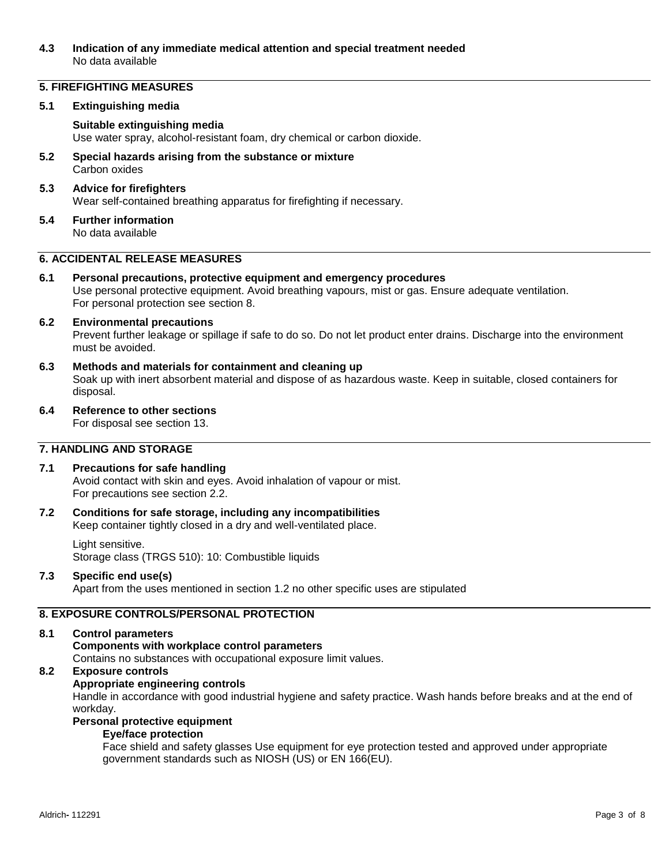## **4.3 Indication of any immediate medical attention and special treatment needed** No data available

## **5. FIREFIGHTING MEASURES**

### **5.1 Extinguishing media**

## **Suitable extinguishing media**

Use water spray, alcohol-resistant foam, dry chemical or carbon dioxide.

**5.2 Special hazards arising from the substance or mixture** Carbon oxides

## **5.3 Advice for firefighters**

Wear self-contained breathing apparatus for firefighting if necessary.

**5.4 Further information** No data available

## **6. ACCIDENTAL RELEASE MEASURES**

**6.1 Personal precautions, protective equipment and emergency procedures** Use personal protective equipment. Avoid breathing vapours, mist or gas. Ensure adequate ventilation. For personal protection see section 8.

# **6.2 Environmental precautions**

Prevent further leakage or spillage if safe to do so. Do not let product enter drains. Discharge into the environment must be avoided.

- **6.3 Methods and materials for containment and cleaning up** Soak up with inert absorbent material and dispose of as hazardous waste. Keep in suitable, closed containers for disposal.
- **6.4 Reference to other sections**

For disposal see section 13.

# **7. HANDLING AND STORAGE**

## **7.1 Precautions for safe handling**

Avoid contact with skin and eyes. Avoid inhalation of vapour or mist. For precautions see section 2.2.

#### **7.2 Conditions for safe storage, including any incompatibilities** Keep container tightly closed in a dry and well-ventilated place.

#### Light sensitive. Storage class (TRGS 510): 10: Combustible liquids

## **7.3 Specific end use(s)**

Apart from the uses mentioned in section 1.2 no other specific uses are stipulated

## **8. EXPOSURE CONTROLS/PERSONAL PROTECTION**

## **8.1 Control parameters**

## **Components with workplace control parameters**

Contains no substances with occupational exposure limit values.

## **8.2 Exposure controls**

## **Appropriate engineering controls**

Handle in accordance with good industrial hygiene and safety practice. Wash hands before breaks and at the end of workday.

# **Personal protective equipment**

## **Eye/face protection**

Face shield and safety glasses Use equipment for eye protection tested and approved under appropriate government standards such as NIOSH (US) or EN 166(EU).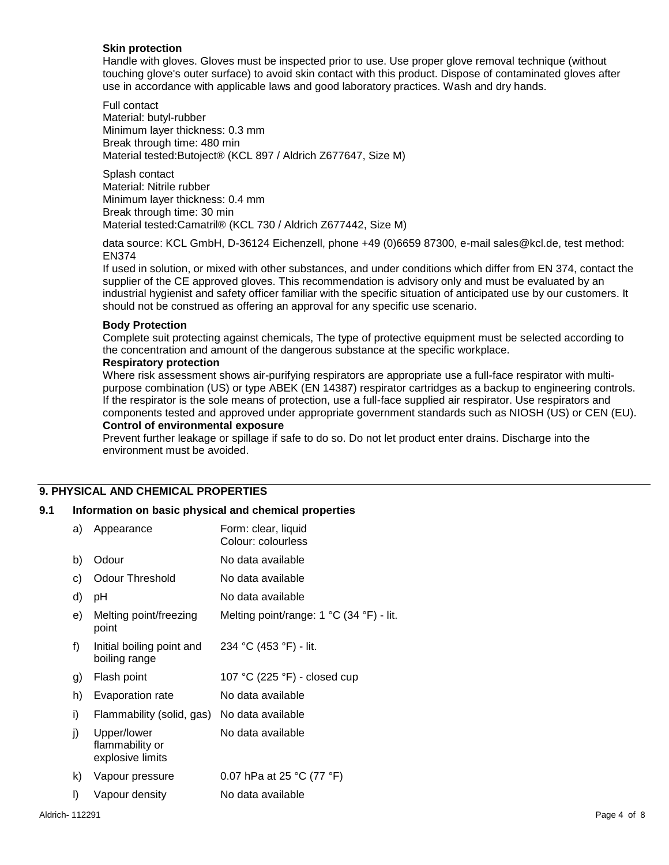## **Skin protection**

Handle with gloves. Gloves must be inspected prior to use. Use proper glove removal technique (without touching glove's outer surface) to avoid skin contact with this product. Dispose of contaminated gloves after use in accordance with applicable laws and good laboratory practices. Wash and dry hands.

Full contact Material: butyl-rubber Minimum layer thickness: 0.3 mm Break through time: 480 min Material tested:Butoject® (KCL 897 / Aldrich Z677647, Size M)

Splash contact Material: Nitrile rubber Minimum layer thickness: 0.4 mm Break through time: 30 min Material tested:Camatril® (KCL 730 / Aldrich Z677442, Size M)

data source: KCL GmbH, D-36124 Eichenzell, phone +49 (0)6659 87300, e-mail sales@kcl.de, test method: EN374

If used in solution, or mixed with other substances, and under conditions which differ from EN 374, contact the supplier of the CE approved gloves. This recommendation is advisory only and must be evaluated by an industrial hygienist and safety officer familiar with the specific situation of anticipated use by our customers. It should not be construed as offering an approval for any specific use scenario.

#### **Body Protection**

Complete suit protecting against chemicals, The type of protective equipment must be selected according to the concentration and amount of the dangerous substance at the specific workplace.

#### **Respiratory protection**

Where risk assessment shows air-purifying respirators are appropriate use a full-face respirator with multipurpose combination (US) or type ABEK (EN 14387) respirator cartridges as a backup to engineering controls. If the respirator is the sole means of protection, use a full-face supplied air respirator. Use respirators and components tested and approved under appropriate government standards such as NIOSH (US) or CEN (EU).

## **Control of environmental exposure**

Prevent further leakage or spillage if safe to do so. Do not let product enter drains. Discharge into the environment must be avoided.

# **9. PHYSICAL AND CHEMICAL PROPERTIES**

## **9.1 Information on basic physical and chemical properties**

| a) | Appearance                                         | Form: clear, liquid<br>Colour: colourless |
|----|----------------------------------------------------|-------------------------------------------|
| b) | Odour                                              | No data available                         |
| C) | Odour Threshold                                    | No data available                         |
| d) | рH                                                 | No data available                         |
| e) | Melting point/freezing<br>point                    | Melting point/range: 1 °C (34 °F) - lit.  |
| f) | Initial boiling point and<br>boiling range         | 234 °C (453 °F) - lit.                    |
| g) | Flash point                                        | 107 °C (225 °F) - closed cup              |
| h) | Evaporation rate                                   | No data available                         |
| i) | Flammability (solid, gas)                          | No data available                         |
| j) | Upper/lower<br>flammability or<br>explosive limits | No data available                         |
| k) | Vapour pressure                                    | 0.07 hPa at 25 °C (77 °F)                 |
| I) | Vapour density                                     | No data available                         |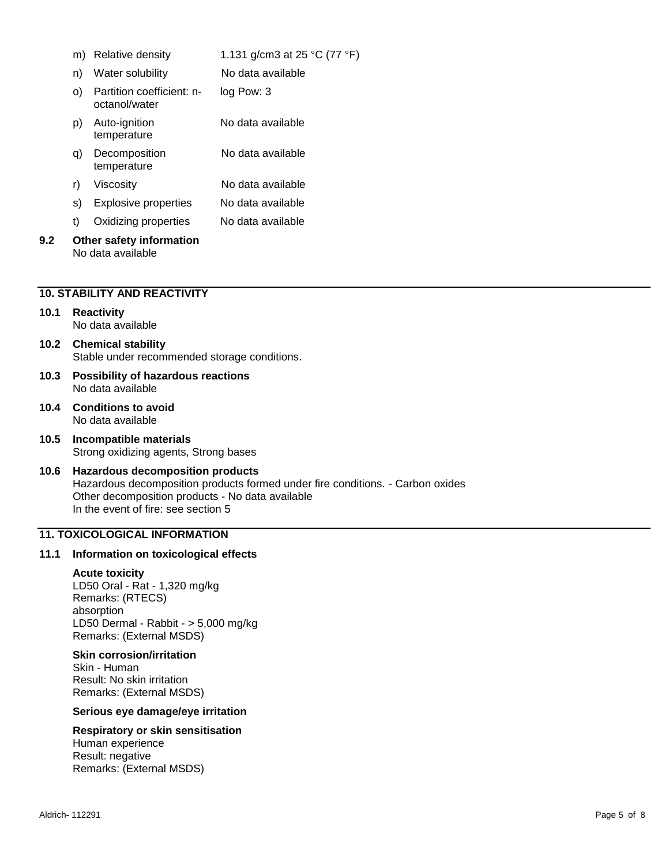|     | m) | Relative density                              | 1.131 g/cm3 at 25 °C (77 °F) |
|-----|----|-----------------------------------------------|------------------------------|
|     | n) | Water solubility                              | No data available            |
|     | O) | Partition coefficient: n-<br>octanol/water    | log Pow: 3                   |
|     | p) | Auto-ignition<br>temperature                  | No data available            |
|     | q) | Decomposition<br>temperature                  | No data available            |
|     | r) | Viscositv                                     | No data available            |
|     | S) | Explosive properties                          | No data available            |
|     | t) | Oxidizing properties                          | No data available            |
| 9.2 |    | Other safety information<br>No data available |                              |

## **10. STABILITY AND REACTIVITY**

#### **10.1 Reactivity** No data available

# **10.2 Chemical stability** Stable under recommended storage conditions.

- **10.3 Possibility of hazardous reactions** No data available
- **10.4 Conditions to avoid** No data available
- **10.5 Incompatible materials** Strong oxidizing agents, Strong bases

## **10.6 Hazardous decomposition products** Hazardous decomposition products formed under fire conditions. - Carbon oxides Other decomposition products - No data available In the event of fire: see section 5

## **11. TOXICOLOGICAL INFORMATION**

## **11.1 Information on toxicological effects**

#### **Acute toxicity**

LD50 Oral - Rat - 1,320 mg/kg Remarks: (RTECS) absorption LD50 Dermal - Rabbit - > 5,000 mg/kg Remarks: (External MSDS)

#### **Skin corrosion/irritation**

Skin - Human Result: No skin irritation Remarks: (External MSDS)

## **Serious eye damage/eye irritation**

# **Respiratory or skin sensitisation**

Human experience Result: negative Remarks: (External MSDS)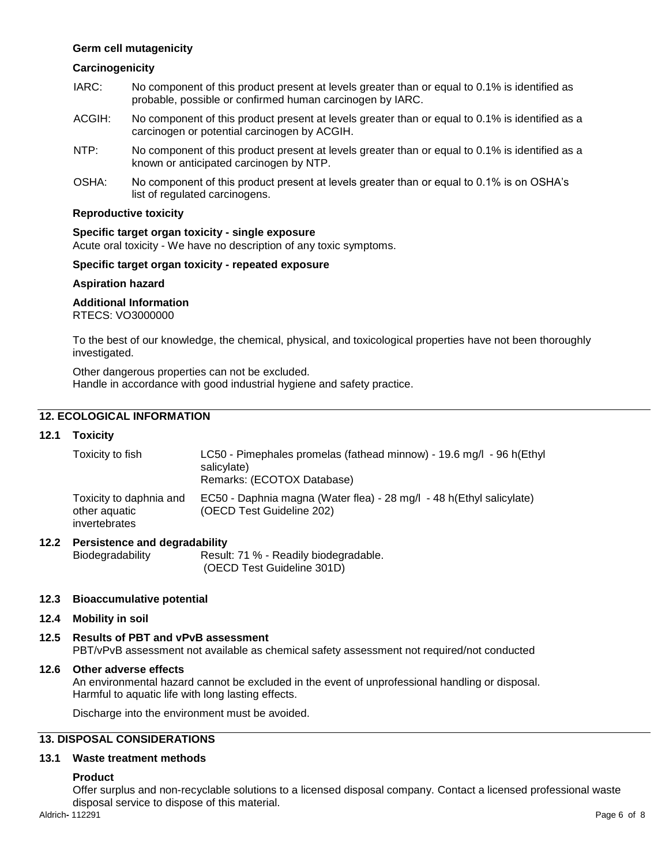## **Germ cell mutagenicity**

## **Carcinogenicity**

- IARC: No component of this product present at levels greater than or equal to 0.1% is identified as probable, possible or confirmed human carcinogen by IARC.
- ACGIH: No component of this product present at levels greater than or equal to 0.1% is identified as a carcinogen or potential carcinogen by ACGIH.
- NTP: No component of this product present at levels greater than or equal to 0.1% is identified as a known or anticipated carcinogen by NTP.
- OSHA: No component of this product present at levels greater than or equal to 0.1% is on OSHA's list of regulated carcinogens.

### **Reproductive toxicity**

#### **Specific target organ toxicity - single exposure**

Acute oral toxicity - We have no description of any toxic symptoms.

## **Specific target organ toxicity - repeated exposure**

#### **Aspiration hazard**

#### **Additional Information**

RTECS: VO3000000

To the best of our knowledge, the chemical, physical, and toxicological properties have not been thoroughly investigated.

Other dangerous properties can not be excluded. Handle in accordance with good industrial hygiene and safety practice.

## **12. ECOLOGICAL INFORMATION**

## **12.1 Toxicity**

| Toxicity to fish                                          | LC50 - Pimephales promelas (fathead minnow) - 19.6 mg/l - 96 h(Ethyl<br>salicylate)<br>Remarks: (ECOTOX Database) |
|-----------------------------------------------------------|-------------------------------------------------------------------------------------------------------------------|
| Toxicity to daphnia and<br>other aquatic<br>invertebrates | EC50 - Daphnia magna (Water flea) - 28 mg/l - 48 h(Ethyl salicylate)<br>(OECD Test Guideline 202)                 |

## **12.2 Persistence and degradability**

Biodegradability Result: 71 % - Readily biodegradable. (OECD Test Guideline 301D)

#### **12.3 Bioaccumulative potential**

#### **12.4 Mobility in soil**

#### **12.5 Results of PBT and vPvB assessment** PBT/vPvB assessment not available as chemical safety assessment not required/not conducted

#### **12.6 Other adverse effects**

An environmental hazard cannot be excluded in the event of unprofessional handling or disposal. Harmful to aquatic life with long lasting effects.

Discharge into the environment must be avoided.

## **13. DISPOSAL CONSIDERATIONS**

#### **13.1 Waste treatment methods**

## **Product**

Offer surplus and non-recyclable solutions to a licensed disposal company. Contact a licensed professional waste disposal service to dispose of this material.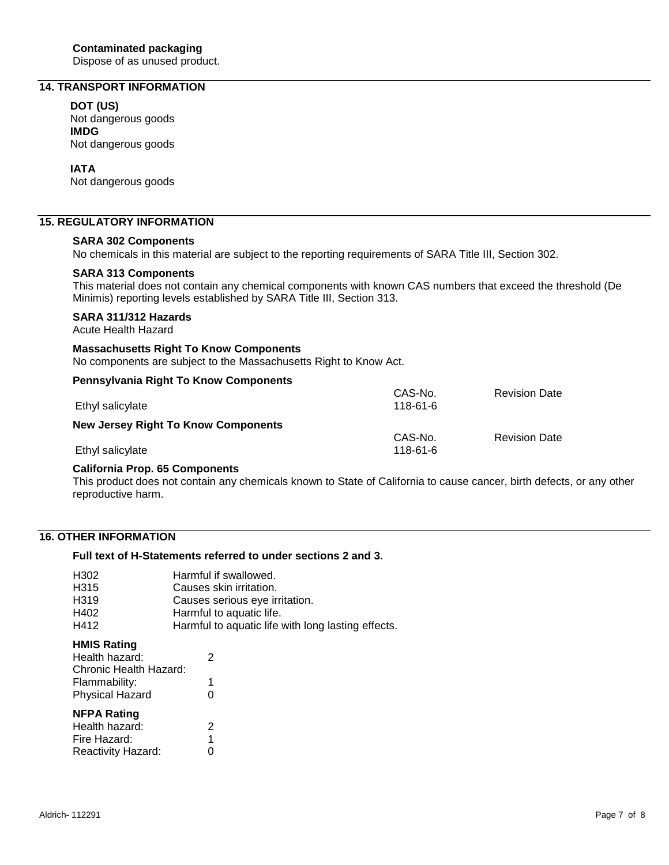Dispose of as unused product.

# **14. TRANSPORT INFORMATION**

#### **DOT (US)**

Not dangerous goods **IMDG** Not dangerous goods

## **IATA**

Not dangerous goods

## **15. REGULATORY INFORMATION**

### **SARA 302 Components**

No chemicals in this material are subject to the reporting requirements of SARA Title III, Section 302.

#### **SARA 313 Components**

This material does not contain any chemical components with known CAS numbers that exceed the threshold (De Minimis) reporting levels established by SARA Title III, Section 313.

## **SARA 311/312 Hazards**

Acute Health Hazard

## **Massachusetts Right To Know Components**

No components are subject to the Massachusetts Right to Know Act.

#### **Pennsylvania Right To Know Components**

| Ethyl salicylate                           | CAS-No.<br>$118 - 61 - 6$ | <b>Revision Date</b> |
|--------------------------------------------|---------------------------|----------------------|
|                                            |                           |                      |
| <b>New Jersey Right To Know Components</b> |                           |                      |
|                                            | CAS-No.                   | <b>Revision Date</b> |
| Ethyl salicylate                           | $118 - 61 - 6$            |                      |

## **California Prop. 65 Components**

This product does not contain any chemicals known to State of California to cause cancer, birth defects, or any other reproductive harm.

## **16. OTHER INFORMATION**

## **Full text of H-Statements referred to under sections 2 and 3.**

| H302 | Harmful if swallowed.                              |
|------|----------------------------------------------------|
| H315 | Causes skin irritation.                            |
| H319 | Causes serious eye irritation.                     |
| H402 | Harmful to aquatic life.                           |
| H412 | Harmful to aquatic life with long lasting effects. |

## **HMIS Rating**

| Health hazard:         | 2 |
|------------------------|---|
| Chronic Health Hazard: |   |
| Flammability:          |   |
| <b>Physical Hazard</b> | ი |
|                        |   |
| <b>NFPA Rating</b>     |   |
| Health hazard:         | 2 |
| Fire Hazard:           | 1 |